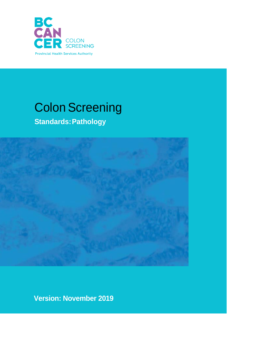

# **Colon Screening**

**Standards:Pathology**



**Version: November 2019**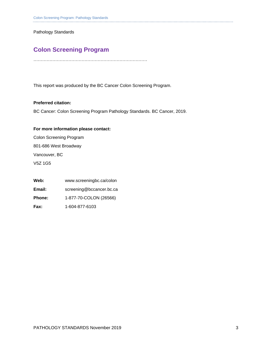Pathology Standards

### **Colon Screening Program**

……………………………………………………………………

This report was produced by the BC Cancer Colon Screening Program.

#### **Preferred citation:**

BC Cancer: Colon Screening Program Pathology Standards. BC Cancer, 2019.

#### **For more information please contact:**

Colon Screening Program 801-686 West Broadway Vancouver, BC V5Z 1G5

| Web:          | www.screeningbc.ca/colon |
|---------------|--------------------------|
| Email:        | screening@bccancer.bc.ca |
| <b>Phone:</b> | 1-877-70-COLON (26566)   |
| Fax:          | 1-604-877-6103           |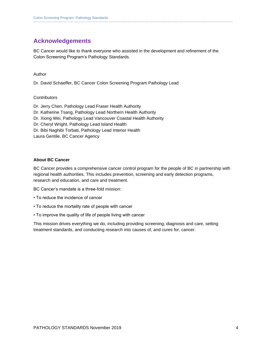### **Acknowledgements**

BC Cancer would like to thank everyone who assisted in the development and refinement of the Colon Screening Program's Pathology Standards.

Author

Dr. David Schaeffer, BC Cancer Colon Screening Program Pathology Lead

#### **Contributors**

Dr. Jerry Chen, Pathology Lead Fraser Health Authority Dr. Katherine Tsang, Pathology Lead Northern Health Authority Dr. Xiong Wei, Pathology Lead Vancouver Coastal Health Authority Dr. Cheryl Wright, Pathology Lead Island Health Dr. Bibi Naghibi Torbati, Pathology Lead Interior Health Laura Gentile, BC Cancer Agency

#### **About BC Cancer**

BC Cancer provides a comprehensive cancer control program for the people of BC in partnership with regional health authorities. This includes prevention, screening and early detection programs, research and education, and care and treatment.

BC Cancer's mandate is a three-fold mission:

- To reduce the incidence of cancer
- To reduce the mortality rate of people with cancer
- To improve the quality of life of people living with cancer

This mission drives everything we do, including providing screening, diagnosis and care, setting treatment standards, and conducting research into causes of, and cures for, cancer.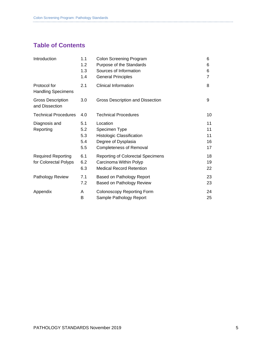### **Table of Contents**

| Introduction                               | 1.1 | Colon Screening Program                  | 6  |
|--------------------------------------------|-----|------------------------------------------|----|
|                                            | 1.2 | Purpose of the Standards                 | 6  |
|                                            | 1.3 | Sources of Information                   | 6  |
|                                            | 1.4 | <b>General Principles</b>                | 7  |
| Protocol for<br><b>Handling Specimens</b>  | 2.1 | <b>Clinical Information</b>              | 8  |
| <b>Gross Description</b><br>and Dissection | 3.0 | <b>Gross Description and Dissection</b>  | 9  |
| <b>Technical Procedures</b>                | 4.0 | <b>Technical Procedures</b>              | 10 |
| Diagnosis and                              | 5.1 | Location                                 | 11 |
| Reporting                                  | 5.2 | Specimen Type                            | 11 |
|                                            | 5.3 | Histologic Classification                | 11 |
|                                            | 5.4 | Degree of Dysplasia                      | 16 |
|                                            | 5.5 | <b>Completeness of Removal</b>           | 17 |
| <b>Required Reporting</b>                  | 6.1 | <b>Reporting of Colorectal Specimens</b> | 18 |
| for Colorectal Polyps                      | 6.2 | Carcinoma Within Polyp                   | 19 |
|                                            | 6.3 | <b>Medical Record Retention</b>          | 22 |
| Pathology Review                           | 7.1 | Based on Pathology Report                | 23 |
|                                            | 7.2 | Based on Pathology Review                | 23 |
| Appendix                                   | A   | <b>Colonoscopy Reporting Form</b>        | 24 |
|                                            | В   | Sample Pathology Report                  | 25 |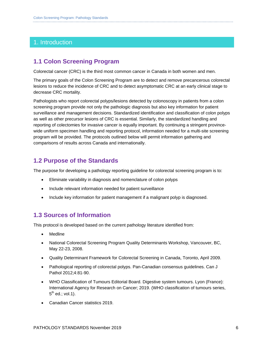### 1. Introduction

### **1.1 Colon Screening Program**

Colorectal cancer (CRC) is the third most common cancer in Canada in both women and men.

The primary goals of the Colon Screening Program are to detect and remove precancerous colorectal lesions to reduce the incidence of CRC and to detect asymptomatic CRC at an early clinical stage to decrease CRC mortality.

Pathologists who report colorectal polyps/lesions detected by colonoscopy in patients from a colon screening program provide not only the pathologic diagnosis but also key information for patient surveillance and management decisions. Standardized identification and classification of colon polyps as well as other precursor lesions of CRC is essential. Similarly, the standardized handling and reporting of colectomies for invasive cancer is equally important. By continuing a stringent provincewide uniform specimen handling and reporting protocol, information needed for a multi-site screening program will be provided. The protocols outlined below will permit information gathering and comparisons of results across Canada and internationally.

### **1.2 Purpose of the Standards**

The purpose for developing a pathology reporting guideline for colorectal screening program is to:

- Eliminate variability in diagnosis and nomenclature of colon polyps
- Include relevant information needed for patient surveillance
- Include key information for patient management if a malignant polyp is diagnosed.

### **1.3 Sources of Information**

This protocol is developed based on the current pathology literature identified from:

- Medline
- National Colorectal Screening Program Quality Determinants Workshop, Vancouver, BC, May 22-23, 2008.
- Quality Determinant Framework for Colorectal Screening in Canada, Toronto, April 2009.
- Pathological reporting of colorectal polyps. Pan-Canadian consensus guidelines. Can J Pathol 2012;4:81-90.
- WHO Classification of Tumours Editorial Board. Digestive system tumours. Lyon (France): International Agency for Research on Cancer; 2019. (WHO classification of tumours series,  $5^{\text{th}}$  ed.; vol.1).
- Canadian Cancer statistics 2019.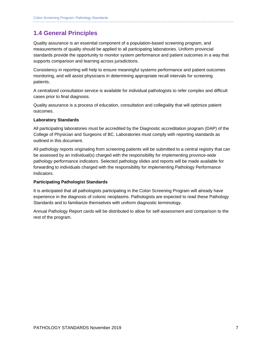### **1.4 General Principles**

Quality assurance is an essential component of a population-based screening program, and measurements of quality should be applied to all participating laboratories. Uniform provincial standards provide the opportunity to monitor system performance and patient outcomes in a way that supports comparison and learning across jurisdictions.

Consistency in reporting will help to ensure meaningful systems performance and patient outcomes monitoring, and will assist physicians in determining appropriate recall intervals for screening patients.

A centralized consultation service is available for individual pathologists to refer complex and difficult cases prior to final diagnosis.

Quality assurance is a process of education, consultation and collegiality that will optimize patient outcomes.

#### **Laboratory Standards**

All participating laboratories must be accredited by the Diagnostic accreditation program (DAP) of the College of Physician and Surgeons of BC. Laboratories must comply with reporting standards as outlined in this document.

All pathology reports originating from screening patients will be submitted to a central registry that can be assessed by an individual(s) charged with the responsibility for implementing province-wide pathology performance indicators. Selected pathology slides and reports will be made available for forwarding to individuals charged with the responsibility for implementing Pathology Performance Indicators.

#### **Participating Pathologist Standards**

It is anticipated that all pathologists participating in the Colon Screening Program will already have experience in the diagnosis of colonic neoplasms. Pathologists are expected to read these Pathology Standards and to familiarize themselves with uniform diagnostic terminology.

Annual Pathology Report cards will be distributed to allow for self-assessment and comparison to the rest of the program.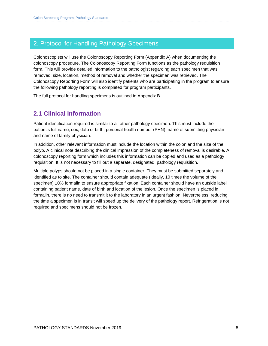### 2. Protocol for Handling Pathology Specimens

Colonoscopists will use the Colonoscopy Reporting Form (Appendix A) when documenting the colonoscopy procedure. The Colonoscopy Reporting Form functions as the pathology requisition form. This will provide detailed information to the pathologist regarding each specimen that was removed: size, location, method of removal and whether the specimen was retrieved. The Colonoscopy Reporting Form will also identify patients who are participating in the program to ensure the following pathology reporting is completed for program participants.

The full protocol for handling specimens is outlined in Appendix B.

### **2.1 Clinical Information**

Patient identification required is similar to all other pathology specimen. This must include the patient's full name, sex, date of birth, personal health number (PHN), name of submitting physician and name of family physician.

In addition, other relevant information must include the location within the colon and the size of the polyp. A clinical note describing the clinical impression of the completeness of removal is desirable. A colonoscopy reporting form which includes this information can be copied and used as a pathology requisition. It is not necessary to fill out a separate, designated, pathology requisition.

Multiple polyps should not be placed in a single container. They must be submitted separately and identified as to site. The container should contain adequate (ideally, 10 times the volume of the specimen) 10% formalin to ensure appropriate fixation. Each container should have an outside label containing patient name, date of birth and location of the lesion. Once the specimen is placed in formalin, there is no need to transmit it to the laboratory in an urgent fashion. Nevertheless, reducing the time a specimen is in transit will speed up the delivery of the pathology report. Refrigeration is not required and specimens should not be frozen.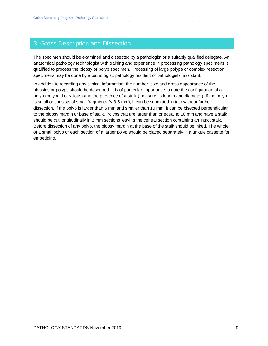### 3. Gross Description and Dissection

The specimen should be examined and dissected by a pathologist or a suitably qualified delegate. An anatomical pathology technologist with training and experience in processing pathology specimens is qualified to process the biopsy or polyp specimen. Processing of large polyps or complex resection specimens may be done by a pathologist, pathology resident or pathologists' assistant.

In addition to recording any clinical information, the number, size and gross appearance of the biopsies or polyps should be described. It is of particular importance to note the configuration of a polyp (polypoid or villous) and the presence of a stalk (measure its length and diameter). If the polyp is small or consists of small fragments (< 3-5 mm), it can be submitted in toto without further dissection. If the polyp is larger than 5 mm and smaller than 10 mm, it can be bisected perpendicular to the biopsy margin or base of stalk. Polyps that are larger than or equal to 10 mm and have a stalk should be cut longitudinally in 3 mm sections leaving the central section containing an intact stalk. Before dissection of any polyp, the biopsy margin at the base of the stalk should be inked. The whole of a small polyp or each section of a larger polyp should be placed separately in a unique cassette for embedding.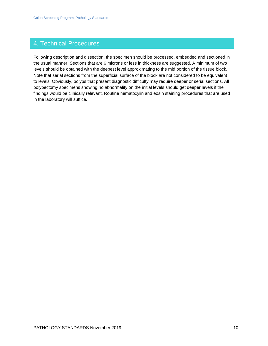### 4. Technical Procedures

Following description and dissection, the specimen should be processed, embedded and sectioned in the usual manner. Sections that are 6 microns or less in thickness are suggested. A minimum of two levels should be obtained with the deepest level approximating to the mid portion of the tissue block. Note that serial sections from the superficial surface of the block are not considered to be equivalent to levels. Obviously, polyps that present diagnostic difficulty may require deeper or serial sections. All polypectomy specimens showing no abnormality on the initial levels should get deeper levels if the findings would be clinically relevant. Routine hematoxylin and eosin staining procedures that are used in the laboratory will suffice.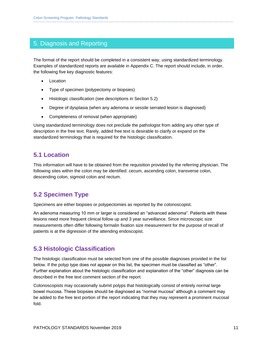### 5. Diagnosis and Reporting

The format of the report should be completed in a consistent way, using standardized terminology. Examples of standardized reports are available in Appendix C. The report should include, in order, the following five key diagnostic features:

- Location
- Type of specimen (polypectomy or biopsies)
- Histologic classification (see descriptions in Section 5.2)
- Degree of dysplasia (when any adenoma or sessile serrated lesion is diagnosed)
- Completeness of removal (when appropriate)

Using standardized terminology does not preclude the pathologist from adding any other type of description in the free text. Rarely, added free text is desirable to clarify or expand on the standardized terminology that is required for the histologic classification.

### **5.1 Location**

This information will have to be obtained from the requisition provided by the referring physician. The following sites within the colon may be identified: cecum, ascending colon, transverse colon, descending colon, sigmoid colon and rectum.

### **5.2 Specimen Type**

Specimens are either biopsies or polypectomies as reported by the colonoscopist.

An adenoma measuring 10 mm or larger is considered an "advanced adenoma". Patients with these lesions need more frequent clinical follow up and 3 year surveillance. Since microscopic size measurements often differ following formalin fixation size measurement for the purpose of recall of patients is at the digression of the attending endoscopist.

### **5.3 Histologic Classification**

The histologic classification must be selected from one of the possible diagnoses provided in the list below. If the polyp type does not appear on this list, the specimen must be classified as "other". Further explanation about the histologic classification and explanation of the "other" diagnosis can be described in the free text comment section of the report.

Colonoscopists may occasionally submit polyps that histologically consist of entirely normal large bowel mucosa. These biopsies should be diagnosed as "normal mucosa" although a comment may be added to the free text portion of the report indicating that they may represent a prominent mucosal fold.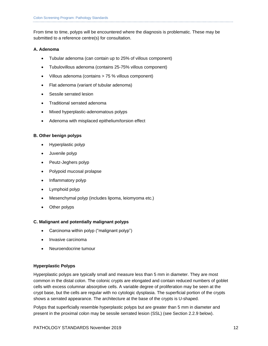From time to time, polyps will be encountered where the diagnosis is problematic. These may be submitted to a reference centre(s) for consultation.

#### **A. Adenoma**

- Tubular adenoma (can contain up to 25% of villous component)
- Tubulovillous adenoma (contains 25-75% villous component)
- Villous adenoma (contains > 75 % villous component)
- Flat adenoma (variant of tubular adenoma)
- Sessile serrated lesion
- Traditional serrated adenoma
- Mixed hyperplastic-adenomatous polyps
- Adenoma with misplaced epithelium/torsion effect

#### **B. Other benign polyps**

- Hyperplastic polyp
- Juvenile polyp
- Peutz-Jeghers polyp
- Polypoid mucosal prolapse
- Inflammatory polyp
- Lymphoid polyp
- Mesenchymal polyp (includes lipoma, leiomyoma etc.)
- Other polyps

#### **C. Malignant and potentially malignant polyps**

- Carcinoma within polyp ("malignant polyp")
- Invasive carcinoma
- Neuroendocrine tumour

#### **Hyperplastic Polyps**

Hyperplastic polyps are typically small and measure less than 5 mm in diameter. They are most common in the distal colon. The colonic crypts are elongated and contain reduced numbers of goblet cells with excess columnar absorptive cells. A variable degree of proliferation may be seen at the crypt base, but the cells are regular with no cytologic dysplasia. The superficial portion of the crypts shows a serrated appearance. The architecture at the base of the crypts is U-shaped.

Polyps that superficially resemble hyperplastic polyps but are greater than 5 mm in diameter and present in the proximal colon may be sessile serrated lesion (SSL) (see Section 2.2.9 below).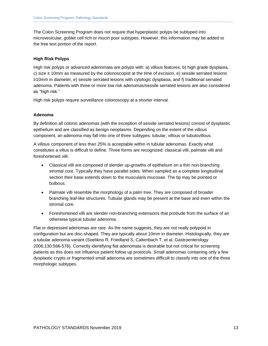The Colon Screening Program does not require that hyperplastic polyps be subtyped into microvesicular, goblet cell rich or mucin poor subtypes. However, this information may be added to the free text portion of the report.

#### **High Risk Polyps**

High risk polyps or advanced adenomata are polyps with: a) villous features, b) high grade dysplasia, c) size  $\geq$  10mm as measured by the colonoscopist at the time of excision, e) sessile serrated lesions ≥10mm in diameter, e) sessile serrated lesions with cytologic dysplasia, and f) traditional serrated adenoma. Patients with three or more low risk adenomas/sessile serrated lesions are also considered as "high risk."

High risk polyps require surveillance colonoscopy at a shorter interval.

#### **Adenoma**

By definition all colonic adenomas (with the exception of sessile serrated lesions) consist of dysplastic epithelium and are classified as benign neoplasms. Depending on the extent of the villous component, an adenoma may fall into one of three subtypes: tubular, villous or tubulovillous.

A villous component of less than 25% is acceptable within in tubular adenomas. Exactly what constitutes a villus is difficult to define. Three forms are recognized: classical villi, palmate villi and foreshortened villi.

- Classical villi are composed of slender up-growths of epithelium on a thin non-branching stromal core. Typically they have parallel sides. When sampled as a complete longitudinal section their base extends down to the muscularis mucosae. The tip may be pointed or bulbous.
- Palmate villi resemble the morphology of a palm tree. They are composed of broader branching leaf-like structures. Tubular glands may be present at the base and even within the stromal core.
- Foreshortened villi are slender non-branching extensions that protrude from the surface of an otherwise typical tubular adenoma.

Flat or depressed adenomas are rare. As the name suggests, they are not really polypoid in configuration but are disc-shaped. They are typically about 10mm in diameter. Histologically, they are a tubular adenoma variant (Soetikno R, Friedland S, Caltenbach T, et al. Gastroenterology 2006;130:566-576). Correctly identifying flat adenomata is desirable but not critical for screening patients as this does not influence patient follow up protocols. Small adenomas containing only a few dysplastic crypts or fragmented small adenoma are sometimes difficult to classify into one of the three morphologic subtypes.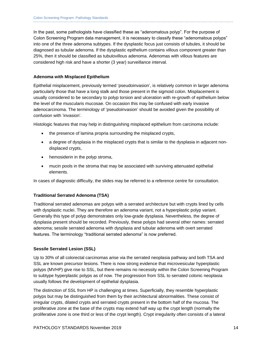In the past, some pathologists have classified these as "adenomatous polyp". For the purpose of Colon Screening Program data management, it is necessary to classify these "adenomatous polyps" into one of the three adenoma subtypes. If the dysplastic focus just consists of tubules, it should be diagnosed as tubular adenoma. If the dysplastic epithelium contains villous component greater than 25%, then it should be classified as tubulovillous adenoma. Adenomas with villous features are considered high risk and have a shorter (3 year) surveillance interval.

#### **Adenoma with Misplaced Epithelium**

Epithelial misplacement, previously termed 'pseudoinvasion', is relatively common in larger adenoma particularly those that have a long stalk and those present in the sigmoid colon. Misplacement is usually considered to be secondary to polyp torsion and ulceration with re-growth of epithelium below the level of the muscularis mucosae. On occasion this may be confused with early invasive adenocarcinoma. The terminology of 'pseudoinvasion' should be avoided given the possibility of confusion with 'invasion'.

Histologic features that may help in distinguishing misplaced epithelium from carcinoma include:

- the presence of lamina propria surrounding the misplaced crypts,
- a degree of dysplasia in the misplaced crypts that is similar to the dysplasia in adjacent nondisplaced crypts,
- hemosiderin in the polyp stroma,
- mucin pools in the stroma that may be associated with surviving attenuated epithelial elements.

In cases of diagnostic difficulty, the slides may be referred to a reference centre for consultation.

#### **Traditional Serrated Adenoma (TSA)**

Traditional serrated adenomas are polyps with a serrated architecture but with crypts lined by cells with dysplastic nuclei. They are therefore an adenoma variant, not a hyperplastic polyp variant. Generally this type of polyp demonstrates only low-grade dysplasia. Nevertheless, the degree of dysplasia present should be recorded. Previously, these polyps had several other names: serrated adenoma; sessile serrated adenoma with dysplasia and tubular adenoma with overt serrated features. The terminology "traditional serrated adenoma" is now preferred.

#### **Sessile Serrated Lesion (SSL)**

Up to 30% of all colorectal carcinomas arise via the serrated neoplasia pathway and both TSA and SSL are known precursor lesions. There is now strong evidence that microvesicular hyperplastic polyps (MVHP) give rise to SSL, but there remains no necessity within the Colon Screening Program to subtype hyperplastic polyps as of now. The progression from SSL to serrated colonic neoplasia usually follows the development of epithelial dysplasia.

The distinction of SSL from HP is challenging at times. Superficially, they resemble hyperplastic polyps but may be distinguished from them by their architectural abnormalities. These consist of irregular crypts, dilated crypts and serrated crypts present in the bottom half of the mucosa. The proliferative zone at the base of the crypts may extend half way up the crypt length (normally the proliferative zone is one third or less of the crypt length). Crypt irregularity often consists of a lateral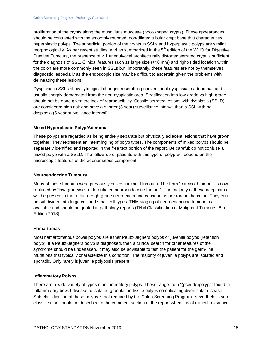proliferation of the crypts along the muscularis mucosae (boot-shaped crypts). These appearances should be contrasted with the smoothly rounded, non-dilated tubular crypt base that characterizes hyperplastic polyps. The superficial portion of the crypts in SSLs and hyperplastic polyps are similar morphologically. As per recent studies, and as summarized in the  $5<sup>th</sup>$  edition of the WHO for Digestive Disease Tumours, the presence of ≥ 1 unequivocal architecturally distorted serrated crypt is sufficient for the diagnosis of SSL. Clinical features such as large size (≥10 mm) and right-sided location within the colon are more commonly seen in SSLs but, importantly, these features are not by themselves diagnostic, especially as the endoscopic size may be difficult to ascertain given the problems with delineating these lesions.

Dysplasia in SSLs show cytological changes resembling conventional dysplasia in adenomas and is usually sharply demarcated from the non-dysplastic area. Stratification into low-grade *vs* high-grade should not be done given the lack of reproducibility. Sessile serrated lesions with dysplasia (SSLD) are considered high risk and have a shorter (3 year) surveillance interval than a SSL with no dysplasia (5 year surveillance interval).

#### **Mixed Hyperplastic Polyp/Adenoma**

These polyps are regarded as being entirely separate but physically adjacent lesions that have grown together. They represent an intermingling of polyp types. The components of mixed polyps should be separately identified and reported in the free text portion of the report. Be careful: do not confuse a mixed polyp with a SSLD. The follow-up of patients with this type of polyp will depend on the microscopic features of the adenomatous component.

#### **Neuroendocrine Tumours**

Many of these tumours were previously called carcinoid tumours. The term "carcinoid tumour" is now replaced by "low-grade/well-differentiated neuroendocrine tumour". The majority of these neoplasms will be present in the rectum. High-grade neuroendocrine carcinomas are rare in the colon. They can be subdivided into large cell and small cell types. TNM staging of neuroendocrine tumours is available and should be quoted in pathology reports (TNM Classification of Malignant Tumours, 8th Edition 2018).

#### **Hamartomas**

Most hamartomatous bowel polyps are either Peutz-Jeghers polyps or juvenile polyps (retention polyp). If a Peutz-Jeghers polyp is diagnosed, then a clinical search for other features of the syndrome should be undertaken. It may also be advisable to test the patient for the germ-line mutations that typically characterize this condition. The majority of juvenile polyps are isolated and sporadic. Only rarely is juvenile polyposis present.

#### **Inflammatory Polyps**

There are a wide variety of types of inflammatory polyps. These range from "(pseudo)polyps" found in inflammatory bowel disease to isolated granulation tissue polyps complicating diverticular disease. Sub-classification of these polyps is not required by the Colon Screening Program. Nevertheless subclassification should be described in the comment section of the report when it is of clinical relevance.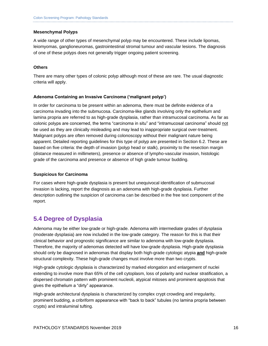#### **Mesenchymal Polyps**

A wide range of other types of mesenchymal polyp may be encountered. These include lipomas, leiomyomas, ganglioneuromas, gastrointestinal stromal tumour and vascular lesions. The diagnosis of one of these polyps does not generally trigger ongoing patient screening.

#### **Others**

There are many other types of colonic polyp although most of these are rare. The usual diagnostic criteria will apply.

#### **Adenoma Containing an Invasive Carcinoma ('malignant polyp')**

In order for carcinoma to be present within an adenoma, there must be definite evidence of a carcinoma invading into the submucosa. Carcinoma-like glands involving only the epithelium and lamina propria are referred to as high-grade dysplasia, rather than intramucosal carcinoma. As far as colonic polyps are concerned, the terms "carcinoma in situ" and "intramucosal carcinoma" should not be used as they are clinically misleading and may lead to inappropriate surgical over-treatment. Malignant polyps are often removed during colonoscopy without their malignant nature being apparent. Detailed reporting guidelines for this type of polyp are presented in Section 6.2. These are based on five criteria: the depth of invasion (polyp head or stalk), proximity to the resection margin (distance measured in millimeters), presence or absence of lympho-vascular invasion, histologic grade of the carcinoma and presence or absence of high grade tumour budding.

#### **Suspicious for Carcinoma**

For cases where high-grade dysplasia is present but unequivocal identification of submucosal invasion is lacking, report the diagnosis as an adenoma with high-grade dysplasia. Further description outlining the suspicion of carcinoma can be described in the free text component of the report.

### **5.4 Degree of Dysplasia**

Adenoma may be either low-grade or high-grade. Adenoma with intermediate grades of dysplasia (moderate dysplasia) are now included in the low-grade category. The reason for this is that their clinical behavior and prognostic significance are similar to adenoma with low-grade dysplasia. Therefore, the majority of adenomas detected will have low-grade dysplasia. High-grade dysplasia should only be diagnosed in adenomas that display both high-grade cytologic atypia **and** high-grade structural complexity. These high-grade changes must involve more than two crypts.

High-grade cytologic dysplasia is characterized by marked elongation and enlargement of nuclei extending to involve more than 65% of the cell cytoplasm, loss of polarity and nuclear stratification, a dispersed chromatin pattern with prominent nucleoli, atypical mitoses and prominent apoptosis that gives the epithelium a "dirty" appearance.

High-grade architectural dysplasia is characterized by complex crypt crowding and irregularity, prominent budding, a cribriform appearance with "back to back" tubules (no lamina propria between crypts) and intraluminal tufting.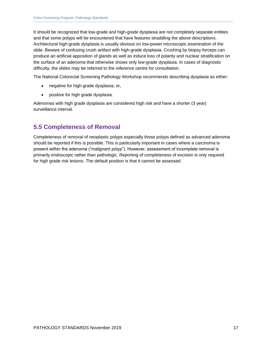It should be recognized that low-grade and high-grade dysplasia are not completely separate entities and that some polyps will be encountered that have features straddling the above descriptions. Architectural high-grade dysplasia is usually obvious on low-power microscopic examination of the slide. Beware of confusing crush artifact with high-grade dysplasia. Crushing by biopsy forceps can produce an artificial apposition of glands as well as induce loss of polarity and nuclear stratification on the surface of an adenoma that otherwise shows only low-grade dysplasia. In cases of diagnostic difficulty, the slides may be referred to the reference centre for consultation.

The National Colorectal Screening Pathology Workshop recommends describing dysplasia as either:

- negative for high grade dysplasia; or,
- positive for high grade dysplasia.

Adenomas with high grade dysplasia are considered high risk and have a shorter (3 year) surveillance interval.

### **5.5 Completeness of Removal**

Completeness of removal of neoplastic polyps especially those polyps defined as advanced adenoma should be reported if this is possible. This is particularly important in cases where a carcinoma is present within the adenoma ("malignant polyp"). However, assessment of incomplete removal is primarily endoscopic rather than pathologic. Reporting of completeness of excision is only required for high grade risk lesions. The default position is that it cannot be assessed.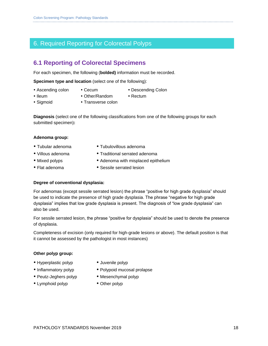### 6. Required Reporting for Colorectal Polyps

### **6.1 Reporting of Colorectal Specimens**

For each specimen, the following (**bolded)** information must be recorded.

**Specimen type and location** (select one of the following):

- Ascending colon Cecum Descending Colon
	-
- 
- Ileum Other/Random Rectum • Sigmoid • Transverse colon
	-

**Diagnosis** (select one of the following classifications from one of the following groups for each submitted specimen)**:**

#### **Adenoma group:**

- 
- 
- 
- 
- Tubular adenoma Tubulovillous adenoma
- Villous adenoma Traditional serrated adenoma
- Mixed polyps Adenoma with misplaced epithelium
- Flat adenoma **CELC SESS** Sessile serrated lesion

#### **Degree of conventional dysplasia:**

For adenomas (except sessile serrated lesion) the phrase "positive for high grade dysplasia" should be used to indicate the presence of high grade dysplasia. The phrase "negative for high grade dysplasia" implies that low grade dysplasia is present. The diagnosis of "low grade dysplasia" can also be used.

For sessile serrated lesion, the phrase "positive for dysplasia" should be used to denote the presence of dysplasia.

Completeness of excision (only required for high-grade lesions or above). The default position is that it cannot be assessed by the pathologist in most instances)

#### **Other polyp group:**

- Hyperplastic polyp Juvenile polyp
- 
- Peutz-Jeghers polyp Mesenchymal polyp
- Lymphoid polyp Other polyp
- 
- Inflammatory polyp Polypoid mucosal prolapse
	-
	-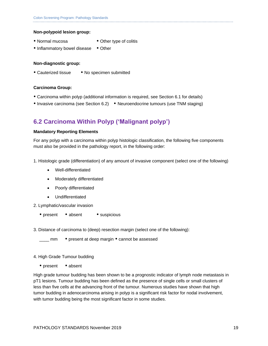#### **Non-polypoid lesion group:**

- Normal mucosa Other type of colitis
	-
- Inflammatory bowel disease Other

#### **Non-diagnostic group:**

• Cauterized tissue • No specimen submitted

#### **Carcinoma Group:**

- Carcinoma within polyp (additional information is required, see Section 6.1 for details)
- Invasive carcinoma (see Section 6.2) Neuroendocrine tumours (use TNM staging)

### **6.2 Carcinoma Within Polyp ('Malignant polyp')**

#### **Mandatory Reporting Elements**

For any polyp with a carcinoma within polyp histologic classification, the following five components must also be provided in the pathology report, in the following order:

- 1. Histologic grade (differentiation) of any amount of invasive component (select one of the following)
	- Well-differentiated
	- Moderately differentiated
	- Poorly differentiated
	- Undifferentiated
- 2. Lymphatic/vascular invasion
	- present absent suspicious
- 3. Distance of carcinoma to (deep) resection margin (select one of the following):

\_ mm • present at deep margin • cannot be assessed

#### 4. High Grade Tumour budding

• present • absent

High grade tumour budding has been shown to be a prognostic indicator of lymph node metastasis in pT1 lesions. Tumour budding has been defined as the presence of single cells or small clusters of less than five cells at the advancing front of the tumour. Numerous studies have shown that high tumor budding in adenocarcinoma arising in polyp is a significant risk factor for nodal involvement, with tumor budding being the most significant factor in some studies.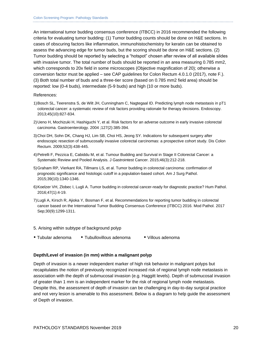An international tumor budding consensus conference (ITBCC) in 2016 recommended the following criteria for evaluating tumor budding: (1) Tumor budding counts should be done on H&E sections. In cases of obscuring factors like inflammation, immunohistochemistry for keratin can be obtained to assess the advancing edge for tumor buds, but the scoring should be done on H&E sections. (2) Tumor budding should be reported by selecting a "hotspot" chosen after review of all available slides with invasive tumor. The total number of buds should be reported in an area measuring 0.785 mm2, which corresponds to 20x field in some microscopes (Objective magnification of 20); otherwise a conversion factor must be applied – see CAP guidelines for Colon Rectum 4.0.1.0 (2017), note F.). (3) Both total number of buds and a three-tier score (based on 0.785 mm2 field area) should be reported: low (0-4 buds), intermediate (5-9 buds) and high (10 or more buds).

#### References:

- 1)Bosch SL, Teerenstra S, de Wilt JH, Cunningham C, Nagtegaal ID. Predicting lymph node metastasis in pT1 colorectal cancer: a systematic review of risk factors providing rationale for therapy decisions. Endoscopy. 2013;45(10):827-834.
- 2)Ueno H, Mochizuki H, Hashiguchi Y, et al. Risk factors for an adverse outcome in early invasive colorectal carcinoma. Gastroenterology. 2004 ;127(2):385-394.
- 3)Choi DH, Sohn DK, Chang HJ, Lim SB, Choi HS, Jeong SY. Indications for subsequent surgery after endoscopic resection of submucosally invasive colorectal carcinomas: a prospective cohort study. Dis Colon Rectum. 2009;52(3):438-445.
- 4)Petrelli F, Pezzica E, Cabiddu M, et al. Tumour Budding and Survival in Stage II Colorectal Cancer: a Systematic Review and Pooled Analysis. J Gastrointest Cancer. 2015;46(3):212-218.
- 5)Graham RP, Vierkant RA, Tillmans LS, et al. Tumor budding in colorectal carcinoma: confirmation of prognostic significance and histologic cutoff in a population-based cohort. Am J Surg Pathol. 2015;39(10):1340-1346.
- 6)Koelzer VH, Zlobec I, Lugli A. Tumor budding in colorectal cancer-ready for diagnostic practice? Hum Pathol. 2016;47(1):4-19.
- 7)Lugli A, Kirsch R, Ajioka Y, Bosman F, et al. Recommendations for reporting tumor budding in colorectal cancer based on the International Tumor Budding Consensus Conference (ITBCC) 2016. Mod Pathol. 2017 Sep;30(9):1299-1311.
- 5. Arising within subtype of background polyp
- Tubular adenoma • Tubullovillous adenoma Villous adenoma

#### **Depth/Level of invasion (in mm) within a malignant polyp**

Depth of invasion is a newer independent marker of high risk behavior in malignant polyps but recapitulates the notion of previously recognized increased risk of regional lymph node metastasis in association with the depth of submucosal invasion (e.g. Haggitt levels). Depth of submucosal invasion of greater than 1 mm is an independent marker for the risk of regional lymph node metastasis. Despite this, the assessment of depth of invasion can be challenging in day-to-day surgical practice and not very lesion is amenable to this assessment. Below is a diagram to help guide the assessment of Depth of invasion.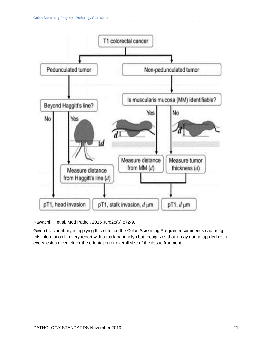

Kawachi H, et al. Mod Pathol. 2015 Jun;28(6):872-9.

Given the variability in applying this criterion the Colon Screening Program recommends capturing this information in every report with a malignant polyp but recognizes that it may not be applicable in every lesion given either the orientation or overall size of the tissue fragment.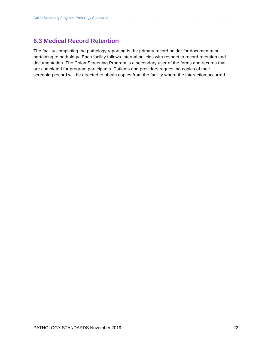### **6.3 Medical Record Retention**

The facility completing the pathology reporting is the primary record holder for documentation pertaining to pathology. Each facility follows internal policies with respect to record retention and documentation. The Colon Screening Program is a secondary user of the forms and records that are completed for program participants. Patients and providers requesting copies of their screening record will be directed to obtain copies from the facility where the interaction occurred.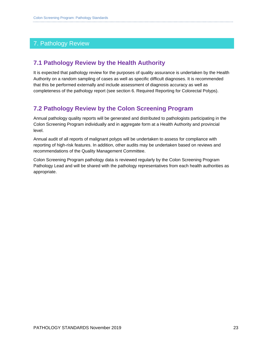### 7. Pathology Review

### **7.1 Pathology Review by the Health Authority**

It is expected that pathology review for the purposes of quality assurance is undertaken by the Health Authority on a random sampling of cases as well as specific difficult diagnoses. It is recommended that this be performed externally and include assessment of diagnosis accuracy as well as completeness of the pathology report (see section 6. Required Reporting for Colorectal Polyps).

### **7.2 Pathology Review by the Colon Screening Program**

Annual pathology quality reports will be generated and distributed to pathologists participating in the Colon Screening Program individually and in aggregate form at a Health Authority and provincial level.

Annual audit of all reports of malignant polyps will be undertaken to assess for compliance with reporting of high-risk features. In addition, other audits may be undertaken based on reviews and recommendations of the Quality Management Committee.

Colon Screening Program pathology data is reviewed regularly by the Colon Screening Program Pathology Lead and will be shared with the pathology representatives from each health authorities as appropriate.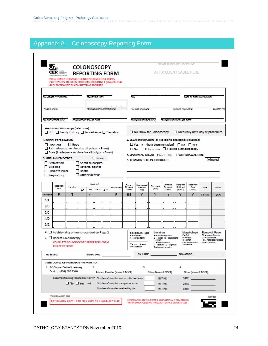## Appendix A – Colonoscopy Reporting Form

| <u>čv</u> h<br><b>COLONOSCOPY</b><br><b>CER</b> SUCH<br><b>REPORTING FORM</b><br>PRESS FIRMLY TO ENSURE LEGIBILITY FOR MULTIPLE COPIES<br>FAX TOP COPY TO COLON SCREENING PROGRAM: 1 (604) 297 9340             |                                                                                               |                          |                                                                          |    |                                                                                                                                                                                                                                                                                                                   |                                                                                                                                                                                                                                                                                                                                                                                                                                                 |                                                                                                                                                                   |                                                                      |                                  |                                | DO NOT PLACE LABEL ABOVE LINE  |                                  |                             |                                  |                 |
|-----------------------------------------------------------------------------------------------------------------------------------------------------------------------------------------------------------------|-----------------------------------------------------------------------------------------------|--------------------------|--------------------------------------------------------------------------|----|-------------------------------------------------------------------------------------------------------------------------------------------------------------------------------------------------------------------------------------------------------------------------------------------------------------------|-------------------------------------------------------------------------------------------------------------------------------------------------------------------------------------------------------------------------------------------------------------------------------------------------------------------------------------------------------------------------------------------------------------------------------------------------|-------------------------------------------------------------------------------------------------------------------------------------------------------------------|----------------------------------------------------------------------|----------------------------------|--------------------------------|--------------------------------|----------------------------------|-----------------------------|----------------------------------|-----------------|
|                                                                                                                                                                                                                 |                                                                                               |                          |                                                                          |    |                                                                                                                                                                                                                                                                                                                   |                                                                                                                                                                                                                                                                                                                                                                                                                                                 |                                                                                                                                                                   | AFFIX CLIENT LABEL HERE                                              |                                  |                                |                                |                                  |                             |                                  |                 |
|                                                                                                                                                                                                                 | GREY SECTIONS TO BE COMPLETED AS REQUIRED                                                     |                          |                                                                          |    |                                                                                                                                                                                                                                                                                                                   |                                                                                                                                                                                                                                                                                                                                                                                                                                                 |                                                                                                                                                                   |                                                                      |                                  |                                |                                |                                  |                             |                                  |                 |
|                                                                                                                                                                                                                 | EXAM DATE (YYYYMMDD)                                                                          |                          |                                                                          |    | START TIME (HRS)                                                                                                                                                                                                                                                                                                  |                                                                                                                                                                                                                                                                                                                                                                                                                                                 |                                                                                                                                                                   | PHN                                                                  |                                  |                                |                                |                                  |                             | DATE OF BIRTH (YYYYMMDD)         |                 |
|                                                                                                                                                                                                                 | <b>FACILITY NAME</b><br>AMENDED DATE (YYYYMMDD)                                               |                          |                                                                          |    |                                                                                                                                                                                                                                                                                                                   |                                                                                                                                                                                                                                                                                                                                                                                                                                                 |                                                                                                                                                                   | <b>PATIENT NAME LAST</b><br><b>PATIENT NAME FIRST</b><br>SEX (M/F/X) |                                  |                                |                                |                                  |                             |                                  |                 |
|                                                                                                                                                                                                                 | COLONOSCOPIST (MSC)                                                                           |                          | COLONOSCOPIST LAST, FIRST                                                |    |                                                                                                                                                                                                                                                                                                                   |                                                                                                                                                                                                                                                                                                                                                                                                                                                 |                                                                                                                                                                   |                                                                      | PRIMARY PROVIDER (MSC)           |                                |                                | PRIMARY PROVIDER LAST, FIRST     |                             |                                  |                 |
|                                                                                                                                                                                                                 | Reason for Colonoscopy (select one):<br>FIT Family History Surveillance Deviation             |                          |                                                                          |    |                                                                                                                                                                                                                                                                                                                   |                                                                                                                                                                                                                                                                                                                                                                                                                                                 |                                                                                                                                                                   |                                                                      | No Show for Colonoscopy          |                                |                                |                                  |                             | Medically unfit day of procedure |                 |
| <b>1. BOWEL PREPARATION</b><br>$\Box$ Good<br>$\Box$ Excellent<br>Fair (adequate to visualize all polyps > 5mm)<br>Poor (inadequate to visualize all polyps > 5mm)<br><b>3. UNPLANNED EVENTS</b><br>$\Box$ None |                                                                                               |                          |                                                                          |    | 2. CECAL INTUBATION (or ileocolonic anastomosis reached)<br>$\Box$ Yes $\rightarrow$ Photo documentation? $\Box$ No $\Box$ Yes<br>$\Box$ No $\Box$ Uncertain $\Box$ Flexible Sigmoidoscopy<br>4. SPECIMENS TAKEN: $\Box$ Yes $\Box$ No $\rightarrow$ WithDRAWAL TIME:<br>(Minutes)<br>5. COMMENTS TO PATHOLOGIST: |                                                                                                                                                                                                                                                                                                                                                                                                                                                 |                                                                                                                                                                   |                                                                      |                                  |                                |                                |                                  |                             |                                  |                 |
| $\Box$ Bleeding                                                                                                                                                                                                 | Perforation<br>Cardiovascular<br>$\Box$ Respiratory                                           |                          | Admit to hospital<br>Reversal agents<br>$\Box$ Death<br>Other (specify): |    |                                                                                                                                                                                                                                                                                                                   |                                                                                                                                                                                                                                                                                                                                                                                                                                                 |                                                                                                                                                                   |                                                                      |                                  |                                |                                |                                  |                             |                                  |                 |
|                                                                                                                                                                                                                 | Specimen<br>Type                                                                              | Location                 | 35                                                                       | 69 | Size(mm)<br>10-19                                                                                                                                                                                                                                                                                                 | > 20                                                                                                                                                                                                                                                                                                                                                                                                                                            | Morphology                                                                                                                                                        | Primary<br>Removal<br>Mode                                           | Submucosal<br>Injection<br>(Y/N) | Plecemeal<br>(Y/N)             | Complete<br>Removal<br>(Y/N/U) | Complete<br>Retrieval<br>(Y/N/U) | Specimen<br>Sent<br>(Y/N/2) | Time                             | <b>Initials</b> |
| Example                                                                                                                                                                                                         | P                                                                                             | т                        |                                                                          | ✓  |                                                                                                                                                                                                                                                                                                                   |                                                                                                                                                                                                                                                                                                                                                                                                                                                 | P                                                                                                                                                                 | НS                                                                   | Y                                | Y                              | Y                              | Y                                | Y                           | 14:00                            | AB              |
| 1/A<br>2/B                                                                                                                                                                                                      |                                                                                               |                          |                                                                          |    |                                                                                                                                                                                                                                                                                                                   |                                                                                                                                                                                                                                                                                                                                                                                                                                                 |                                                                                                                                                                   |                                                                      |                                  |                                |                                |                                  |                             |                                  |                 |
| 3/C                                                                                                                                                                                                             |                                                                                               |                          |                                                                          |    |                                                                                                                                                                                                                                                                                                                   |                                                                                                                                                                                                                                                                                                                                                                                                                                                 |                                                                                                                                                                   |                                                                      |                                  |                                |                                |                                  |                             |                                  |                 |
| 4/D                                                                                                                                                                                                             |                                                                                               |                          |                                                                          |    |                                                                                                                                                                                                                                                                                                                   |                                                                                                                                                                                                                                                                                                                                                                                                                                                 |                                                                                                                                                                   |                                                                      |                                  |                                |                                |                                  |                             |                                  |                 |
| 5/E                                                                                                                                                                                                             |                                                                                               |                          |                                                                          |    |                                                                                                                                                                                                                                                                                                                   |                                                                                                                                                                                                                                                                                                                                                                                                                                                 |                                                                                                                                                                   |                                                                      |                                  |                                |                                |                                  |                             |                                  |                 |
| 6. Additional specimens recorded on Page 2<br>7. Repeat Colonoscopy<br>COMPLETE COLONOSCOPY REPORTING FORM<br>FOR NEXT SCOPE                                                                                    |                                                                                               |                          |                                                                          |    |                                                                                                                                                                                                                                                                                                                   | Morphology<br><b>Removal Mode</b><br><b>Specimen Type</b><br>Location<br>F- not<br>BF - blopsy forceps<br><b>B</b> - bloosies<br>A - ascending colon<br>M - mass<br>CS - cold snare<br>P - polypectomy<br>C - cecum D - descending<br>1 - licum<br>$O$ - other<br>HB = hot biopsy forceps<br>O = other/random<br>P = pedunculated<br>H8 - hot snare<br>Y-yes N-no<br>8 - sessile<br>R - rectum 8 - sigmoid<br>U - uncertain<br>l – bansverse co |                                                                                                                                                                   |                                                                      |                                  |                                |                                |                                  |                             |                                  |                 |
| <b>MD NAME:</b>                                                                                                                                                                                                 |                                                                                               |                          |                                                                          |    | <b>SIGNATURE:</b>                                                                                                                                                                                                                                                                                                 |                                                                                                                                                                                                                                                                                                                                                                                                                                                 |                                                                                                                                                                   |                                                                      |                                  | RN NAME: WELL ARE A RESIDENCE. |                                |                                  | <b>SIGNATURE:</b>           |                                  |                 |
|                                                                                                                                                                                                                 | SEND COPIES OF PATHOLOGY REPORT TO:<br>1. BC Cancer Colon Screening<br>Fax#: 1 (604) 297 9340 |                          |                                                                          | 2. |                                                                                                                                                                                                                                                                                                                   |                                                                                                                                                                                                                                                                                                                                                                                                                                                 | Primary Provider (Name & MSC#)                                                                                                                                    |                                                                      | з.                               | Other (Name & MSC#)            |                                |                                  | Other (Name & MSC#)         |                                  |                 |
|                                                                                                                                                                                                                 |                                                                                               | $No$ $Yes$ $\rightarrow$ |                                                                          |    |                                                                                                                                                                                                                                                                                                                   |                                                                                                                                                                                                                                                                                                                                                                                                                                                 | Specimen tracking required by facility? Number of samples sent to collection area:<br>Number of samples transported to lab:<br>Number of samples received by lab: |                                                                      |                                  |                                |                                | INITIALS DATE:                   |                             |                                  |                 |
|                                                                                                                                                                                                                 |                                                                                               |                          |                                                                          |    |                                                                                                                                                                                                                                                                                                                   |                                                                                                                                                                                                                                                                                                                                                                                                                                                 |                                                                                                                                                                   |                                                                      |                                  |                                |                                |                                  |                             |                                  |                 |
|                                                                                                                                                                                                                 | VERSION: AUGUST 2019                                                                          |                          |                                                                          |    |                                                                                                                                                                                                                                                                                                                   |                                                                                                                                                                                                                                                                                                                                                                                                                                                 |                                                                                                                                                                   |                                                                      |                                  |                                |                                |                                  |                             |                                  | 20210           |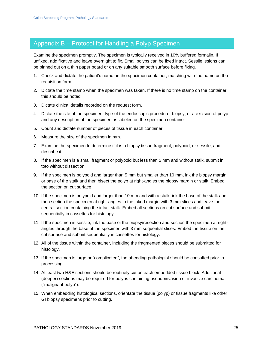### Appendix B – Protocol for Handling a Polyp Specimen

Examine the specimen promptly. The specimen is typically received in 10% buffered formalin. If unfixed, add fixative and leave overnight to fix. Small polyps can be fixed intact. Sessile lesions can be pinned out on a thin paper board or on any suitable smooth surface before fixing.

- 1. Check and dictate the patient's name on the specimen container, matching with the name on the requisition form.
- 2. Dictate the time stamp when the specimen was taken. If there is no time stamp on the container, this should be noted.
- 3. Dictate clinical details recorded on the request form.
- 4. Dictate the site of the specimen, type of the endoscopic procedure, biopsy, or a excision of polyp and any description of the specimen as labeled on the specimen container.
- 5. Count and dictate number of pieces of tissue in each container.
- 6. Measure the size of the specimen in mm.
- 7. Examine the specimen to determine if it is a biopsy tissue fragment; polypoid; or sessile, and describe it.
- 8. If the specimen is a small fragment or polypoid but less than 5 mm and without stalk, submit in toto without dissection.
- 9. If the specimen is polypoid and larger than 5 mm but smaller than 10 mm, ink the biopsy margin or base of the stalk and then bisect the polyp at right-angles the biopsy margin or stalk. Embed the section on cut surface
- 10. If the specimen is polypoid and larger than 10 mm and with a stalk, ink the base of the stalk and then section the specimen at right-angles to the inked margin with 3 mm slices and leave the central section containing the intact stalk. Embed all sections on cut surface and submit sequentially in cassettes for histology.
- 11. If the specimen is sessile, ink the base of the biopsy/resection and section the specimen at rightangles through the base of the specimen with 3 mm sequential slices. Embed the tissue on the cut surface and submit sequentially in cassettes for histology.
- 12. All of the tissue within the container, including the fragmented pieces should be submitted for histology.
- 13. If the specimen is large or "complicated", the attending pathologist should be consulted prior to processing.
- 14. At least two H&E sections should be routinely cut on each embedded tissue block. Additional (deeper) sections may be required for polyps containing pseudoinvasion or invasive carcinoma ("malignant polyp").
- 15. When embedding histological sections, orientate the tissue (polyp) or tissue fragments like other GI biopsy specimens prior to cutting.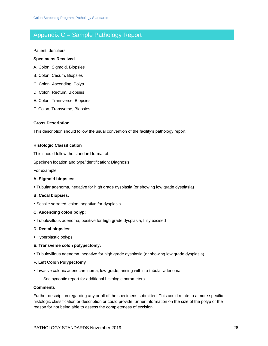### Appendix C – Sample Pathology Report

Patient Identifiers:

#### **Specimens Received**

- A. Colon, Sigmoid, Biopsies
- B. Colon, Cecum, Biopsies
- C. Colon, Ascending, Polyp
- D. Colon, Rectum, Biopsies
- E. Colon, Transverse, Biopsies
- F. Colon, Transverse, Biopsies

#### **Gross Description**

This description should follow the usual convention of the facility's pathology report.

#### **Histologic Classification**

This should follow the standard format of:

Specimen location and type/identification: Diagnosis

For example:

#### **A. Sigmoid biopsies:**

Tubular adenoma, negative for high grade dysplasia (or showing low grade dysplasia)

#### **B. Cecal biopsies:**

Sessile serrated lesion, negative for dysplasia

#### **C. Ascending colon polyp:**

Tubulovillous adenoma, positive for high grade dysplasia, fully excised

#### **D. Rectal biopsies:**

• Hyperplastic polyps

#### **E. Transverse colon polypectomy:**

Tubulovillous adenoma, negative for high grade dysplasia (or showing low grade dysplasia)

#### **F. Left Colon Polypectomy**

- Invasive colonic adenocarcinoma, low-grade, arising within a tubular adenoma:
	- -See synoptic report for additional histologic parameters

#### **Comments**

Further description regarding any or all of the specimens submitted. This could relate to a more specific histologic classification or description or could provide further information on the size of the polyp or the reason for not being able to assess the completeness of excision.